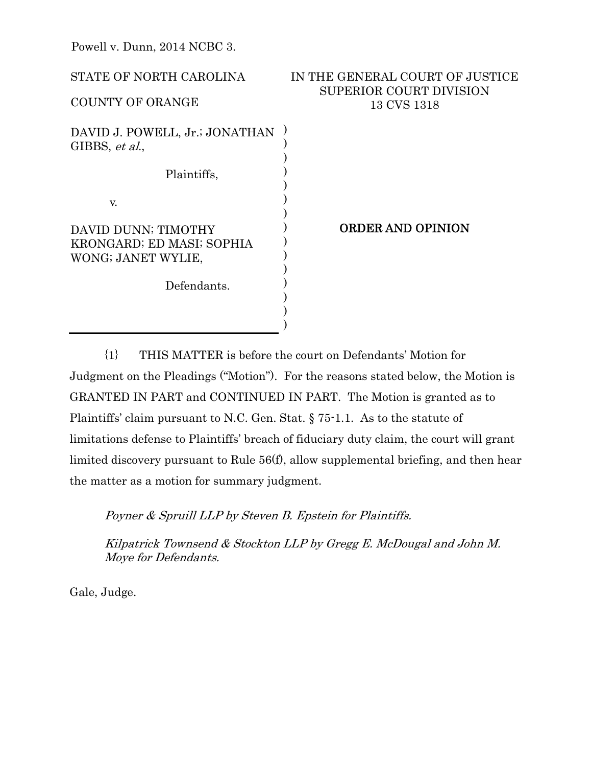| STATE OF NORTH CAROLINA                                                | IN THE GENERAL COURT OF JUSTICE<br><b>SUPERIOR COURT DIVISION</b> |
|------------------------------------------------------------------------|-------------------------------------------------------------------|
| <b>COUNTY OF ORANGE</b>                                                | 13 CVS 1318                                                       |
| DAVID J. POWELL, Jr.; JONATHAN<br>GIBBS, et al.,                       |                                                                   |
| Plaintiffs,                                                            |                                                                   |
| V.                                                                     |                                                                   |
| DAVID DUNN; TIMOTHY<br>KRONGARD; ED MASI; SOPHIA<br>WONG; JANET WYLIE, | <b>ORDER AND OPINION</b>                                          |
| Defendants.                                                            |                                                                   |

{1} THIS MATTER is before the court on Defendants' Motion for Judgment on the Pleadings ("Motion"). For the reasons stated below, the Motion is GRANTED IN PART and CONTINUED IN PART. The Motion is granted as to Plaintiffs' claim pursuant to N.C. Gen. Stat. § 75-1.1. As to the statute of limitations defense to Plaintiffs' breach of fiduciary duty claim, the court will grant limited discovery pursuant to Rule 56(f), allow supplemental briefing, and then hear the matter as a motion for summary judgment.

Poyner & Spruill LLP by Steven B. Epstein for Plaintiffs.

Kilpatrick Townsend & Stockton LLP by Gregg E. McDougal and John M. Moye for Defendants.

Gale, Judge.

Powell v. Dunn, 2014 NCBC 3.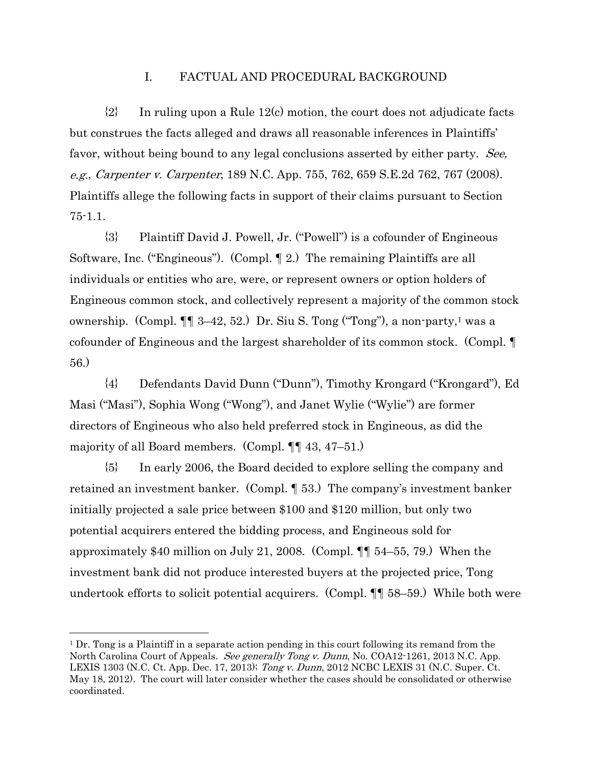## I. FACTUAL AND PROCEDURAL BACKGROUND

 ${2}$  In ruling upon a Rule 12(c) motion, the court does not adjudicate facts but construes the facts alleged and draws all reasonable inferences in Plaintiffs' favor, without being bound to any legal conclusions asserted by either party. See, e.g., Carpenter v. Carpenter, 189 N.C. App. 755, 762, 659 S.E.2d 762, 767 (2008). Plaintiffs allege the following facts in support of their claims pursuant to Section 75-1.1.

{3} Plaintiff David J. Powell, Jr. ("Powell") is a cofounder of Engineous Software, Inc. ("Engineous"). (Compl. ¶ 2.) The remaining Plaintiffs are all individuals or entities who are, were, or represent owners or option holders of Engineous common stock, and collectively represent a majority of the common stock ownership. (Compl.  $\P\P$  3–42, 52.) Dr. Siu S. Tong ("Tong"), a non-party,<sup>1</sup> was a cofounder of Engineous and the largest shareholder of its common stock. (Compl. ¶ 56.)

{4} Defendants David Dunn ("Dunn"), Timothy Krongard ("Krongard"), Ed Masi ("Masi"), Sophia Wong ("Wong"), and Janet Wylie ("Wylie") are former directors of Engineous who also held preferred stock in Engineous, as did the majority of all Board members. (Compl. ¶¶ 43, 47–51.)

{5} In early 2006, the Board decided to explore selling the company and retained an investment banker. (Compl. ¶ 53.) The company's investment banker initially projected a sale price between \$100 and \$120 million, but only two potential acquirers entered the bidding process, and Engineous sold for approximately \$40 million on July 21, 2008. (Compl. ¶¶ 54–55, 79.) When the investment bank did not produce interested buyers at the projected price, Tong undertook efforts to solicit potential acquirers. (Compl. ¶¶ 58–59.) While both were

 $\overline{a}$ 

 $1$  Dr. Tong is a Plaintiff in a separate action pending in this court following its remand from the North Carolina Court of Appeals. *See generally Tong v. Dunn*, No. COA12-1261, 2013 N.C. App. LEXIS 1303 (N.C. Ct. App. Dec. 17, 2013); Tong v. Dunn, 2012 NCBC LEXIS 31 (N.C. Super. Ct. May 18, 2012). The court will later consider whether the cases should be consolidated or otherwise coordinated.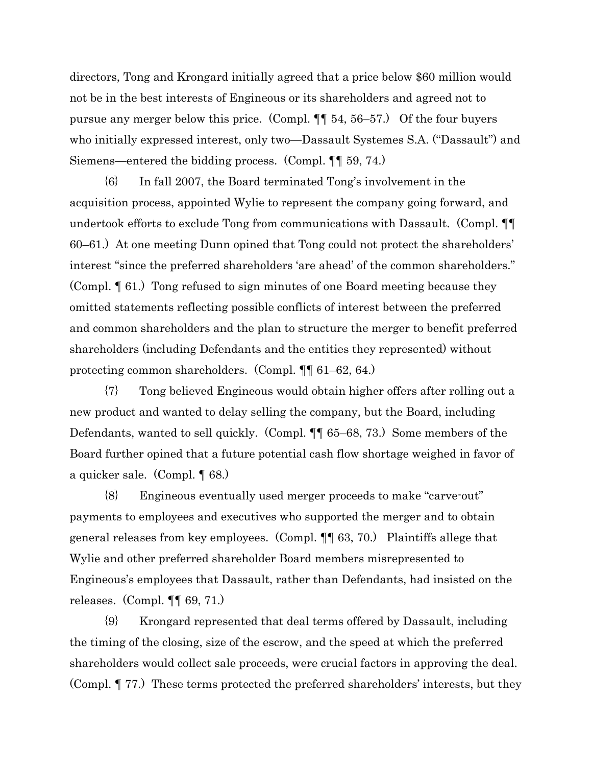directors, Tong and Krongard initially agreed that a price below \$60 million would not be in the best interests of Engineous or its shareholders and agreed not to pursue any merger below this price. (Compl. ¶¶ 54, 56–57.) Of the four buyers who initially expressed interest, only two—Dassault Systemes S.A. ("Dassault") and Siemens—entered the bidding process. (Compl. ¶¶ 59, 74.)

{6} In fall 2007, the Board terminated Tong's involvement in the acquisition process, appointed Wylie to represent the company going forward, and undertook efforts to exclude Tong from communications with Dassault. (Compl. ¶¶ 60–61.) At one meeting Dunn opined that Tong could not protect the shareholders' interest "since the preferred shareholders 'are ahead' of the common shareholders." (Compl. ¶ 61.) Tong refused to sign minutes of one Board meeting because they omitted statements reflecting possible conflicts of interest between the preferred and common shareholders and the plan to structure the merger to benefit preferred shareholders (including Defendants and the entities they represented) without protecting common shareholders. (Compl. ¶¶ 61–62, 64.)

{7} Tong believed Engineous would obtain higher offers after rolling out a new product and wanted to delay selling the company, but the Board, including Defendants, wanted to sell quickly. (Compl. ¶¶ 65–68, 73.) Some members of the Board further opined that a future potential cash flow shortage weighed in favor of a quicker sale. (Compl. ¶ 68.)

{8} Engineous eventually used merger proceeds to make "carve-out" payments to employees and executives who supported the merger and to obtain general releases from key employees. (Compl. ¶¶ 63, 70.) Plaintiffs allege that Wylie and other preferred shareholder Board members misrepresented to Engineous's employees that Dassault, rather than Defendants, had insisted on the releases. (Compl.  $\P\P$  69, 71.)

{9} Krongard represented that deal terms offered by Dassault, including the timing of the closing, size of the escrow, and the speed at which the preferred shareholders would collect sale proceeds, were crucial factors in approving the deal. (Compl. ¶ 77.) These terms protected the preferred shareholders' interests, but they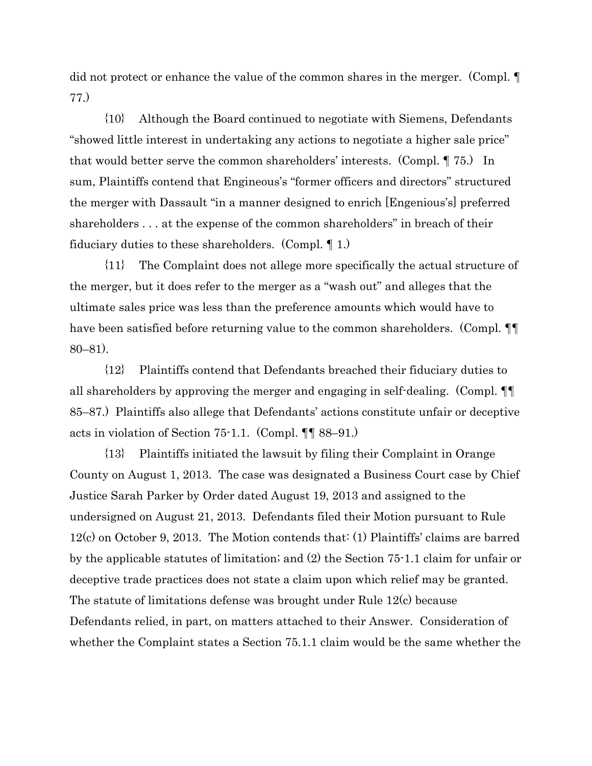did not protect or enhance the value of the common shares in the merger. (Compl. ¶ 77.)

{10} Although the Board continued to negotiate with Siemens, Defendants "showed little interest in undertaking any actions to negotiate a higher sale price" that would better serve the common shareholders' interests. (Compl. ¶ 75.) In sum, Plaintiffs contend that Engineous's "former officers and directors" structured the merger with Dassault "in a manner designed to enrich [Engenious's] preferred shareholders . . . at the expense of the common shareholders" in breach of their fiduciary duties to these shareholders. (Compl. ¶ 1.)

{11} The Complaint does not allege more specifically the actual structure of the merger, but it does refer to the merger as a "wash out" and alleges that the ultimate sales price was less than the preference amounts which would have to have been satisfied before returning value to the common shareholders. (Compl.  $\P$ 80–81).

{12} Plaintiffs contend that Defendants breached their fiduciary duties to all shareholders by approving the merger and engaging in self-dealing. (Compl. ¶¶ 85–87.) Plaintiffs also allege that Defendants' actions constitute unfair or deceptive acts in violation of Section 75-1.1. (Compl. ¶¶ 88–91.)

{13} Plaintiffs initiated the lawsuit by filing their Complaint in Orange County on August 1, 2013. The case was designated a Business Court case by Chief Justice Sarah Parker by Order dated August 19, 2013 and assigned to the undersigned on August 21, 2013. Defendants filed their Motion pursuant to Rule 12(c) on October 9, 2013. The Motion contends that: (1) Plaintiffs' claims are barred by the applicable statutes of limitation; and (2) the Section 75-1.1 claim for unfair or deceptive trade practices does not state a claim upon which relief may be granted. The statute of limitations defense was brought under Rule 12(c) because Defendants relied, in part, on matters attached to their Answer. Consideration of whether the Complaint states a Section 75.1.1 claim would be the same whether the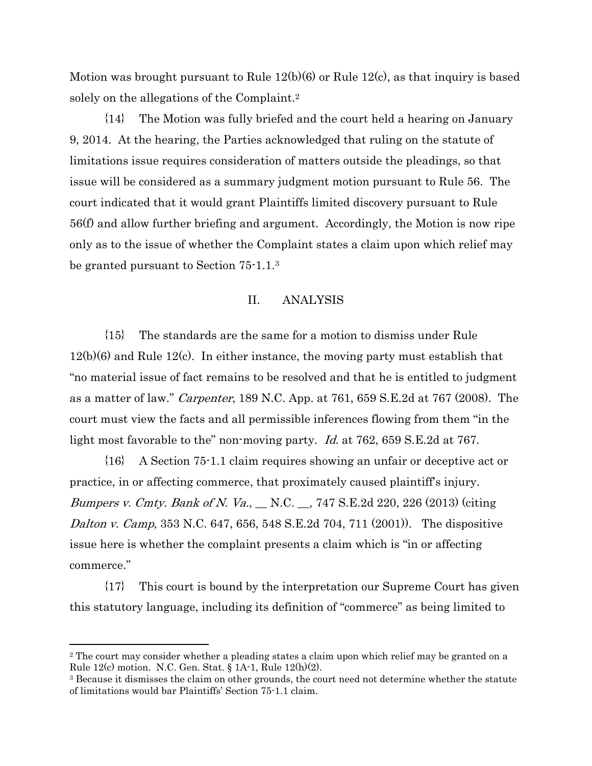Motion was brought pursuant to Rule 12(b)(6) or Rule 12(c), as that inquiry is based solely on the allegations of the Complaint.2

{14} The Motion was fully briefed and the court held a hearing on January 9, 2014. At the hearing, the Parties acknowledged that ruling on the statute of limitations issue requires consideration of matters outside the pleadings, so that issue will be considered as a summary judgment motion pursuant to Rule 56. The court indicated that it would grant Plaintiffs limited discovery pursuant to Rule 56(f) and allow further briefing and argument. Accordingly, the Motion is now ripe only as to the issue of whether the Complaint states a claim upon which relief may be granted pursuant to Section 75-1.1.3

## II. ANALYSIS

{15} The standards are the same for a motion to dismiss under Rule  $12(b)(6)$  and Rule  $12(c)$ . In either instance, the moving party must establish that "no material issue of fact remains to be resolved and that he is entitled to judgment as a matter of law." Carpenter, 189 N.C. App. at 761, 659 S.E.2d at 767 (2008). The court must view the facts and all permissible inferences flowing from them "in the light most favorable to the" non-moving party. Id. at 762, 659 S.E.2d at 767.

{16} A Section 75-1.1 claim requires showing an unfair or deceptive act or practice, in or affecting commerce, that proximately caused plaintiff's injury. Bumpers v. Cmty. Bank of N. Va., \_\_ N.C. \_\_, 747 S.E.2d 220, 226 (2013) (citing Dalton v. Camp, 353 N.C. 647, 656, 548 S.E.2d 704, 711 (2001)). The dispositive issue here is whether the complaint presents a claim which is "in or affecting commerce."

{17} This court is bound by the interpretation our Supreme Court has given this statutory language, including its definition of "commerce" as being limited to

 $\overline{a}$ 

<sup>&</sup>lt;sup>2</sup> The court may consider whether a pleading states a claim upon which relief may be granted on a Rule 12(c) motion. N.C. Gen. Stat. § 1A-1, Rule 12(h)(2).

<sup>3</sup> Because it dismisses the claim on other grounds, the court need not determine whether the statute of limitations would bar Plaintiffs' Section 75-1.1 claim.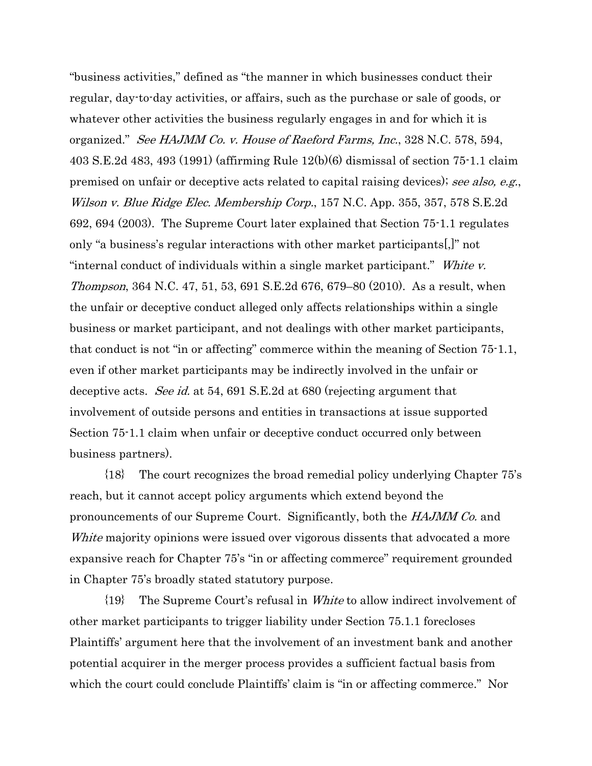"business activities," defined as "the manner in which businesses conduct their regular, day-to-day activities, or affairs, such as the purchase or sale of goods, or whatever other activities the business regularly engages in and for which it is organized." See HAJMM Co. v. House of Raeford Farms, Inc., 328 N.C. 578, 594, 403 S.E.2d 483, 493 (1991) (affirming Rule 12(b)(6) dismissal of section 75-1.1 claim premised on unfair or deceptive acts related to capital raising devices); see also, e.g., Wilson v. Blue Ridge Elec. Membership Corp., 157 N.C. App. 355, 357, 578 S.E.2d 692, 694 (2003). The Supreme Court later explained that Section 75-1.1 regulates only "a business's regular interactions with other market participants[,]" not "internal conduct of individuals within a single market participant." White v. Thompson, 364 N.C. 47, 51, 53, 691 S.E.2d 676, 679–80 (2010). As a result, when the unfair or deceptive conduct alleged only affects relationships within a single business or market participant, and not dealings with other market participants, that conduct is not "in or affecting" commerce within the meaning of Section 75-1.1, even if other market participants may be indirectly involved in the unfair or deceptive acts. See id. at 54, 691 S.E.2d at 680 (rejecting argument that involvement of outside persons and entities in transactions at issue supported Section 75-1.1 claim when unfair or deceptive conduct occurred only between business partners).

{18} The court recognizes the broad remedial policy underlying Chapter 75's reach, but it cannot accept policy arguments which extend beyond the pronouncements of our Supreme Court. Significantly, both the HAJMM Co. and White majority opinions were issued over vigorous dissents that advocated a more expansive reach for Chapter 75's "in or affecting commerce" requirement grounded in Chapter 75's broadly stated statutory purpose.

{19} The Supreme Court's refusal in White to allow indirect involvement of other market participants to trigger liability under Section 75.1.1 forecloses Plaintiffs' argument here that the involvement of an investment bank and another potential acquirer in the merger process provides a sufficient factual basis from which the court could conclude Plaintiffs' claim is "in or affecting commerce." Nor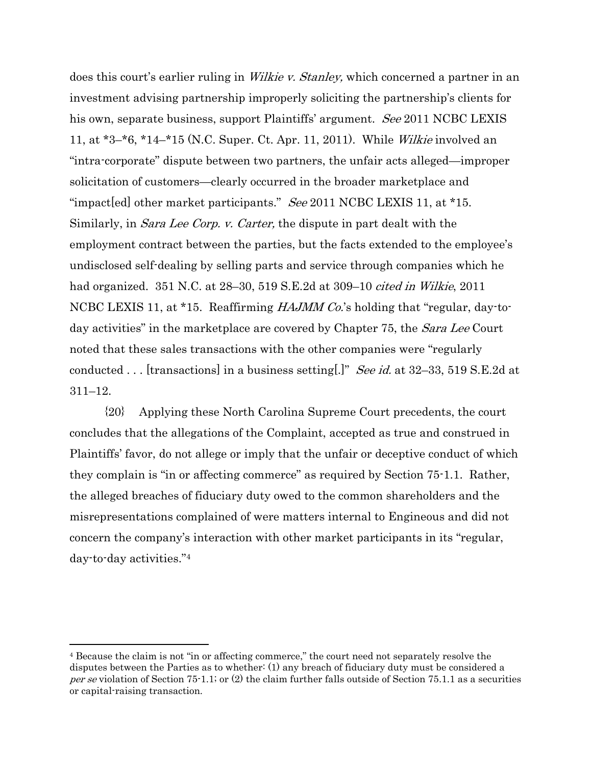does this court's earlier ruling in *Wilkie v. Stanley*, which concerned a partner in an investment advising partnership improperly soliciting the partnership's clients for his own, separate business, support Plaintiffs' argument. See 2011 NCBC LEXIS 11, at \*3–\*6, \*14–\*15 (N.C. Super. Ct. Apr. 11, 2011). While Wilkie involved an "intra-corporate" dispute between two partners, the unfair acts alleged—improper solicitation of customers—clearly occurred in the broader marketplace and "impact[ed] other market participants." See 2011 NCBC LEXIS 11, at  $*15$ . Similarly, in Sara Lee Corp. v. Carter, the dispute in part dealt with the employment contract between the parties, but the facts extended to the employee's undisclosed self-dealing by selling parts and service through companies which he had organized. 351 N.C. at 28–30, 519 S.E.2d at 309–10 cited in Wilkie, 2011 NCBC LEXIS 11, at \*15. Reaffirming *HAJMM Co*'s holding that "regular, day-today activities" in the marketplace are covered by Chapter 75, the *Sara Lee* Court noted that these sales transactions with the other companies were "regularly conducted . . . [transactions] in a business setting[.]" See id. at 32–33, 519 S.E.2d at 311–12.

{20} Applying these North Carolina Supreme Court precedents, the court concludes that the allegations of the Complaint, accepted as true and construed in Plaintiffs' favor, do not allege or imply that the unfair or deceptive conduct of which they complain is "in or affecting commerce" as required by Section 75-1.1. Rather, the alleged breaches of fiduciary duty owed to the common shareholders and the misrepresentations complained of were matters internal to Engineous and did not concern the company's interaction with other market participants in its "regular, day-to-day activities."4

 $\overline{a}$ 

<sup>4</sup> Because the claim is not "in or affecting commerce," the court need not separately resolve the disputes between the Parties as to whether: (1) any breach of fiduciary duty must be considered a per se violation of Section 75-1.1; or (2) the claim further falls outside of Section 75.1.1 as a securities or capital-raising transaction.